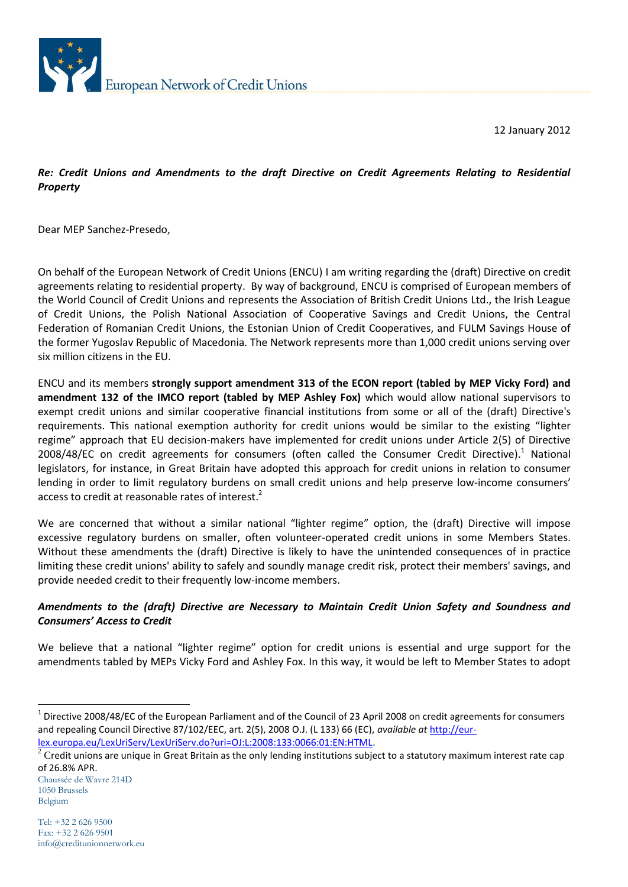

12 January 2012

## *Re: Credit Unions and Amendments to the draft Directive on Credit Agreements Relating to Residential Property*

Dear MEP Sanchez-Presedo,

On behalf of the European Network of Credit Unions (ENCU) I am writing regarding the (draft) Directive on credit agreements relating to residential property. By way of background, ENCU is comprised of European members of the World Council of Credit Unions and represents the Association of British Credit Unions Ltd., the Irish League of Credit Unions, the Polish National Association of Cooperative Savings and Credit Unions, the Central Federation of Romanian Credit Unions, the Estonian Union of Credit Cooperatives, and FULM Savings House of the former Yugoslav Republic of Macedonia. The Network represents more than 1,000 credit unions serving over six million citizens in the EU.

ENCU and its members **strongly support amendment 313 of the ECON report (tabled by MEP Vicky Ford) and amendment 132 of the IMCO report (tabled by MEP Ashley Fox)** which would allow national supervisors to exempt credit unions and similar cooperative financial institutions from some or all of the (draft) Directive's requirements. This national exemption authority for credit unions would be similar to the existing "lighter regime" approach that EU decision-makers have implemented for credit unions under Article 2(5) of Directive 2008/48/EC on credit agreements for consumers (often called the Consumer Credit Directive).<sup>1</sup> National legislators, for instance, in Great Britain have adopted this approach for credit unions in relation to consumer lending in order to limit regulatory burdens on small credit unions and help preserve low-income consumers' access to credit at reasonable rates of interest.<sup>2</sup>

We are concerned that without a similar national "lighter regime" option, the (draft) Directive will impose excessive regulatory burdens on smaller, often volunteer-operated credit unions in some Members States. Without these amendments the (draft) Directive is likely to have the unintended consequences of in practice limiting these credit unions' ability to safely and soundly manage credit risk, protect their members' savings, and provide needed credit to their frequently low-income members.

## *Amendments to the (draft) Directive are Necessary to Maintain Credit Union Safety and Soundness and Consumers' Access to Credit*

We believe that a national "lighter regime" option for credit unions is essential and urge support for the amendments tabled by MEPs Vicky Ford and Ashley Fox. In this way, it would be left to Member States to adopt

-

 $^1$  Directive 2008/48/EC of the European Parliament and of the Council of 23 April 2008 on credit agreements for consumers and repealing Council Directive 87/102/EEC, art. 2(5), 2008 O.J. (L 133) 66 (EC), *available at* [http://eur](http://eur-lex.europa.eu/LexUriServ/LexUriServ.do?uri=OJ:L:2008:133:0066:01:EN:HTML)[lex.europa.eu/LexUriServ/LexUriServ.do?uri=OJ:L:2008:133:0066:01:EN:HTML.](http://eur-lex.europa.eu/LexUriServ/LexUriServ.do?uri=OJ:L:2008:133:0066:01:EN:HTML)

 $2$  Credit unions are unique in Great Britain as the only lending institutions subject to a statutory maximum interest rate cap of 26.8% APR.

Chaussée de Wavre 214D 1050 Brussels Belgium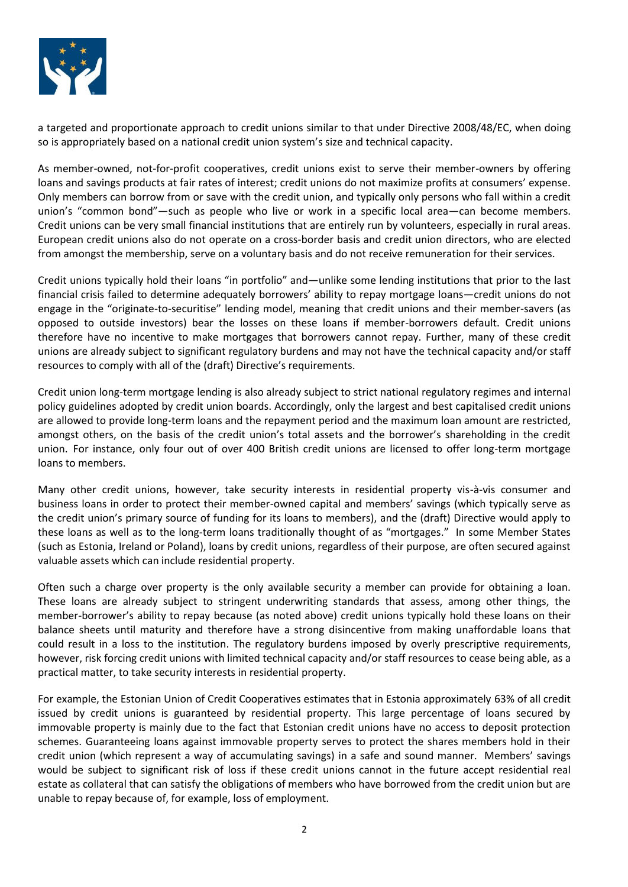

a targeted and proportionate approach to credit unions similar to that under Directive 2008/48/EC, when doing so is appropriately based on a national credit union system's size and technical capacity.

As member-owned, not-for-profit cooperatives, credit unions exist to serve their member-owners by offering loans and savings products at fair rates of interest; credit unions do not maximize profits at consumers' expense. Only members can borrow from or save with the credit union, and typically only persons who fall within a credit union's "common bond"—such as people who live or work in a specific local area—can become members. Credit unions can be very small financial institutions that are entirely run by volunteers, especially in rural areas. European credit unions also do not operate on a cross-border basis and credit union directors, who are elected from amongst the membership, serve on a voluntary basis and do not receive remuneration for their services.

Credit unions typically hold their loans "in portfolio" and—unlike some lending institutions that prior to the last financial crisis failed to determine adequately borrowers' ability to repay mortgage loans—credit unions do not engage in the "originate-to-securitise" lending model, meaning that credit unions and their member-savers (as opposed to outside investors) bear the losses on these loans if member-borrowers default. Credit unions therefore have no incentive to make mortgages that borrowers cannot repay. Further, many of these credit unions are already subject to significant regulatory burdens and may not have the technical capacity and/or staff resources to comply with all of the (draft) Directive's requirements.

Credit union long-term mortgage lending is also already subject to strict national regulatory regimes and internal policy guidelines adopted by credit union boards. Accordingly, only the largest and best capitalised credit unions are allowed to provide long-term loans and the repayment period and the maximum loan amount are restricted, amongst others, on the basis of the credit union's total assets and the borrower's shareholding in the credit union. For instance, only four out of over 400 British credit unions are licensed to offer long-term mortgage loans to members.

Many other credit unions, however, take security interests in residential property vis-à-vis consumer and business loans in order to protect their member-owned capital and members' savings (which typically serve as the credit union's primary source of funding for its loans to members), and the (draft) Directive would apply to these loans as well as to the long-term loans traditionally thought of as "mortgages." In some Member States (such as Estonia, Ireland or Poland), loans by credit unions, regardless of their purpose, are often secured against valuable assets which can include residential property.

Often such a charge over property is the only available security a member can provide for obtaining a loan. These loans are already subject to stringent underwriting standards that assess, among other things, the member-borrower's ability to repay because (as noted above) credit unions typically hold these loans on their balance sheets until maturity and therefore have a strong disincentive from making unaffordable loans that could result in a loss to the institution. The regulatory burdens imposed by overly prescriptive requirements, however, risk forcing credit unions with limited technical capacity and/or staff resources to cease being able, as a practical matter, to take security interests in residential property.

For example, the Estonian Union of Credit Cooperatives estimates that in Estonia approximately 63% of all credit issued by credit unions is guaranteed by residential property. This large percentage of loans secured by immovable property is mainly due to the fact that Estonian credit unions have no access to deposit protection schemes. Guaranteeing loans against immovable property serves to protect the shares members hold in their credit union (which represent a way of accumulating savings) in a safe and sound manner. Members' savings would be subject to significant risk of loss if these credit unions cannot in the future accept residential real estate as collateral that can satisfy the obligations of members who have borrowed from the credit union but are unable to repay because of, for example, loss of employment.